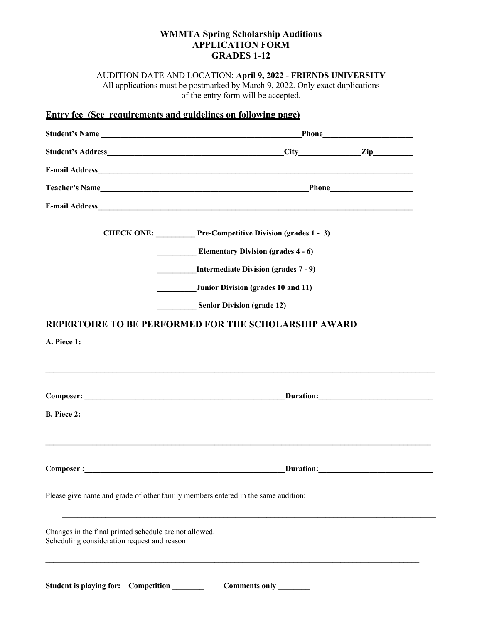## **WMMTA Spring Scholarship Auditions APPLICATION FORM GRADES 1-12**

AUDITION DATE AND LOCATION: **April 9, 2022 - FRIENDS UNIVERSITY** All applications must be postmarked by March 9, 2022. Only exact duplications of the entry form will be accepted.

# **Entry fee (See requirements and guidelines on following page)**

| Student's Name                                                                                                                                                                                                                 |                                                                                  |  |
|--------------------------------------------------------------------------------------------------------------------------------------------------------------------------------------------------------------------------------|----------------------------------------------------------------------------------|--|
|                                                                                                                                                                                                                                |                                                                                  |  |
|                                                                                                                                                                                                                                |                                                                                  |  |
|                                                                                                                                                                                                                                |                                                                                  |  |
|                                                                                                                                                                                                                                |                                                                                  |  |
|                                                                                                                                                                                                                                | CHECK ONE: Pre-Competitive Division (grades 1 - 3)                               |  |
|                                                                                                                                                                                                                                | <b>Elementary Division (grades 4 - 6)</b>                                        |  |
|                                                                                                                                                                                                                                | <b>Intermediate Division (grades 7 - 9)</b>                                      |  |
|                                                                                                                                                                                                                                | Junior Division (grades 10 and 11)                                               |  |
|                                                                                                                                                                                                                                | <b>Senior Division (grade 12)</b>                                                |  |
|                                                                                                                                                                                                                                | REPERTOIRE TO BE PERFORMED FOR THE SCHOLARSHIP AWARD                             |  |
| A. Piece 1:                                                                                                                                                                                                                    |                                                                                  |  |
|                                                                                                                                                                                                                                |                                                                                  |  |
|                                                                                                                                                                                                                                |                                                                                  |  |
|                                                                                                                                                                                                                                |                                                                                  |  |
| <b>B.</b> Piece 2:                                                                                                                                                                                                             |                                                                                  |  |
|                                                                                                                                                                                                                                |                                                                                  |  |
| Composer : Note that the set of the set of the set of the set of the set of the set of the set of the set of the set of the set of the set of the set of the set of the set of the set of the set of the set of the set of the |                                                                                  |  |
|                                                                                                                                                                                                                                |                                                                                  |  |
|                                                                                                                                                                                                                                | Please give name and grade of other family members entered in the same audition: |  |
|                                                                                                                                                                                                                                |                                                                                  |  |
| Changes in the final printed schedule are not allowed.<br>Scheduling consideration request and reason                                                                                                                          |                                                                                  |  |
|                                                                                                                                                                                                                                |                                                                                  |  |
|                                                                                                                                                                                                                                |                                                                                  |  |
| Student is playing for: Competition                                                                                                                                                                                            | Comments only                                                                    |  |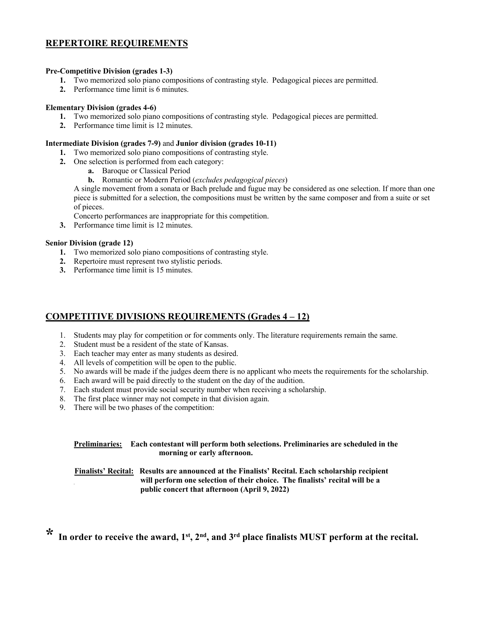## **REPERTOIRE REQUIREMENTS**

#### **Pre-Competitive Division (grades 1-3)**

- **1.** Two memorized solo piano compositions of contrasting style. Pedagogical pieces are permitted.
- **2.** Performance time limit is 6 minutes.

#### **Elementary Division (grades 4-6)**

- **1.** Two memorized solo piano compositions of contrasting style. Pedagogical pieces are permitted.
- **2.** Performance time limit is 12 minutes.

#### **Intermediate Division (grades 7-9)** and **Junior division (grades 10-11)**

- **1.** Two memorized solo piano compositions of contrasting style.
- **2.** One selection is performed from each category:
	- **a.** Baroque or Classical Period
	- **b.** Romantic or Modern Period (*excludes pedagogical pieces*)

A single movement from a sonata or Bach prelude and fugue may be considered as one selection. If more than one piece is submitted for a selection, the compositions must be written by the same composer and from a suite or set of pieces.

Concerto performances are inappropriate for this competition.

**3.** Performance time limit is 12 minutes.

#### **Senior Division (grade 12)**

- **1.** Two memorized solo piano compositions of contrasting style.
- **2.** Repertoire must represent two stylistic periods.
- **3.** Performance time limit is 15 minutes.

### **COMPETITIVE DIVISIONS REQUIREMENTS (Grades 4 – 12)**

- 1. Students may play for competition or for comments only. The literature requirements remain the same.
- 2. Student must be a resident of the state of Kansas.
- 3. Each teacher may enter as many students as desired.
- 4. All levels of competition will be open to the public.
- 5. No awards will be made if the judges deem there is no applicant who meets the requirements for the scholarship.
- 6. Each award will be paid directly to the student on the day of the audition.
- 7. Each student must provide social security number when receiving a scholarship.
- 8. The first place winner may not compete in that division again.
- 9. There will be two phases of the competition:

| Preliminaries: Each contestant will perform both selections. Preliminaries are scheduled in the |
|-------------------------------------------------------------------------------------------------|
| morning or early afternoon.                                                                     |

**Finalists' Recital: Results are announced at the Finalists' Recital. Each scholarship recipient will perform one selection of their choice. The finalists' recital will be a public concert that afternoon (April 9, 2022)**

In order to receive the award, 1<sup>st</sup>, 2<sup>nd</sup>, and 3<sup>rd</sup> place finalists MUST perform at the recital.